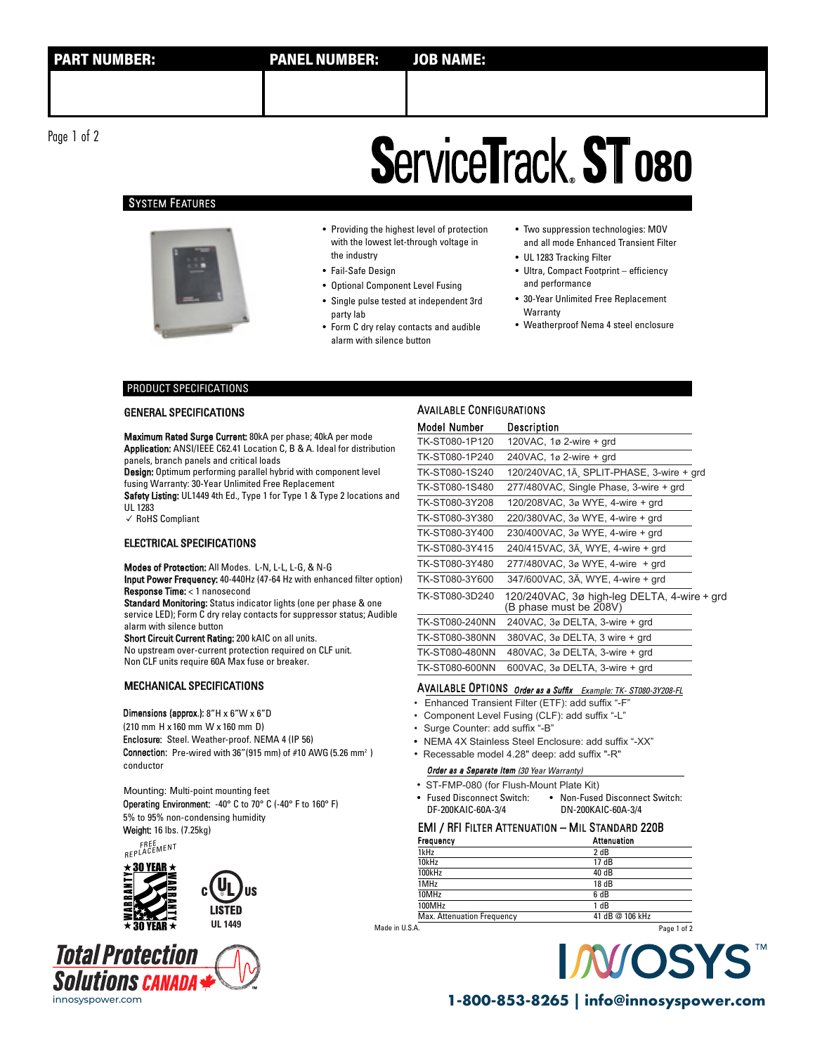Page 1 of 2 Page 1 of 2

## **ServiceTrack ST 080**

### SYSTEM FEATURES



- Providing the highest level of protection with the lowest let-through voltage in the industry
- Fail-Safe Design
- Optional Component Level Fusing
- Single pulse tested at independent 3rd party lab
- Form C dry relay contacts and audible alarm with silence button
- Two suppression technologies: MOV and all mode Enhanced Transient Filter
- UL 1283 Tracking Filter
- Ultra, Compact Footprint efficiency and performance
- 30-Year Unlimited Free Replacement **Warranty**
- Weatherproof Nema 4 steel enclosure

### PRODUCT SPECIFICATIONS

### GENERAL SPECIFICATIONS

Maximum Rated Surge Current: 80kA per phase; 40kA per mode Application: ANSI/IEEE C62.41 Location C, B & A. Ideal for distribution panels, branch panels and critical loads

Design: Optimum performing parallel hybrid with component level fusing Warranty: 30-Year Unlimited Free Replacement

Safety Listing: UL1449 4th Ed., Type 1 for Type 1 & Type 2 locations and UL 1283

✓ RoHS Compliant

### ELECTRICAL SPECIFICATIONS

Modes of Protection: All Modes. L-N, L-L, L-G, & N-G

Input Power Frequency: 40-440Hz (47-64 Hz with enhanced filter option) Response Time: < 1 nanosecond

Standard Monitoring: Status indicator lights (one per phase & one service LED); Form C dry relay contacts for suppressor status; Audible alarm with silence button

Short Circuit Current Rating: 200 kAIC on all units. No upstream over-current protection required on CLF unit. Non CLF units require 60A Max fuse or breaker.

### MECHANICAL SPECIFICATIONS

### Dimensions (approx.): 8"H x 6"W x 6"D

(210 mm H x 160 mm W x 160 mm D)

Enclosure: Steel. Weather-proof. NEMA 4 (IP 56) Connection: Pre-wired with 36" (915 mm) of #10 AWG (5.26 mm<sup>2</sup>)

conductor

### Mounting: Multi-point mounting feet

Operating Environment: -40° C to 70° C (-40° F to 160° F) 5% to 95% non-condensing humidity Weight: 16 lbs. (7.25kg)

FREE<br>REPLACEMENT







| <b>AVAILABLE CONFIGURATIONS</b> |                                                                       |  |  |
|---------------------------------|-----------------------------------------------------------------------|--|--|
| Model Number                    | Description                                                           |  |  |
| TK-ST080-1P120                  | 120VAC, $1\varnothing$ 2-wire $+$ grd                                 |  |  |
| TK-ST080-1P240                  | 240VAC, 1ø 2-wire + grd                                               |  |  |
| TK-ST080-1S240                  | 120/240VAC, 1A, SPLIT-PHASE, 3-wire + grd                             |  |  |
| TK-ST080-1S480                  | 277/480VAC, Single Phase, 3-wire + grd                                |  |  |
| TK-ST080-3Y208                  | 120/208VAC, 3ø WYE, 4-wire + grd                                      |  |  |
| TK-ST080-3Y380                  | 220/380VAC, 3ø WYE, 4-wire + grd                                      |  |  |
| TK-ST080-3Y400                  | 230/400VAC, 3ø WYE, 4-wire + grd                                      |  |  |
| TK-ST080-3Y415                  | 240/415VAC, 3A, WYE, 4-wire + grd                                     |  |  |
| TK-ST080-3Y480                  | $277/480$ VAC, $3\sigma$ WYE, 4-wire $+$ qrd                          |  |  |
| TK-ST080-3Y600                  | 347/600VAC, 3A, WYE, 4-wire + grd                                     |  |  |
| TK-ST080-3D240                  | 120/240VAC, 3ø high-leg DELTA, 4-wire + grd<br>(B phase must be 208V) |  |  |
| <b>TK-ST080-240NN</b>           | 240VAC, 3ø DELTA, 3-wire + grd                                        |  |  |
| <b>TK-ST080-380NN</b>           | 380VAC, 3ø DELTA, 3 wire + grd                                        |  |  |
| <b>TK-ST080-480NN</b>           | 480VAC, $3\varnothing$ DELTA, $3$ -wire $+$ qrd                       |  |  |
| <b>TK-ST080-600NN</b>           | $600$ VAC, $3\varnothing$ DELTA, $3$ -wire $+$ qrd                    |  |  |

### AVAILABLE OPTIONS Order as a Suffix Example: TK- ST080-3Y208-FL

- Enhanced Transient Filter (ETF): add suffix "-F"
- Component Level Fusing (CLF): add suffix "-L"
- Surge Counter: add suffix "-B"
- NEMA 4X Stainless Steel Enclosure: add suffix "-XX"
- Recessable model 4.28" deep: add suffix "-R"

## **Order as a Separate Item (30 Year Warranty)**

• Fused Disconnect Switch: • Non-Fused Disconnect Switch: DF-200KAIC-60A-3/4 DN-200KAIC-60A-3/4 • ST-FMP-080 (for Flush-Mount Plate Kit)

### EMI / RFI FILTER ATTENUATION – MIL STANDARD 220B

| Frequency                  | Attenuation     |             |
|----------------------------|-----------------|-------------|
| 1kHz                       | 2 dB            |             |
| 10kHz                      | 17 dB           |             |
| 100kHz                     | 40 dB           |             |
| 1MHz                       | 18 dB           |             |
| 10MHz                      | 6 dB            |             |
| 100MHz                     | 1 dB            |             |
| Max. Attenuation Frequency | 41 dB @ 106 kHz |             |
| A.                         |                 | Page 1 of 2 |

Made in U.S.A.



innosyspower.com **1-800-853-8265 | info@innosyspower.com** innosyspower.com **1-800-853-8265 | info@innosyspower.com**